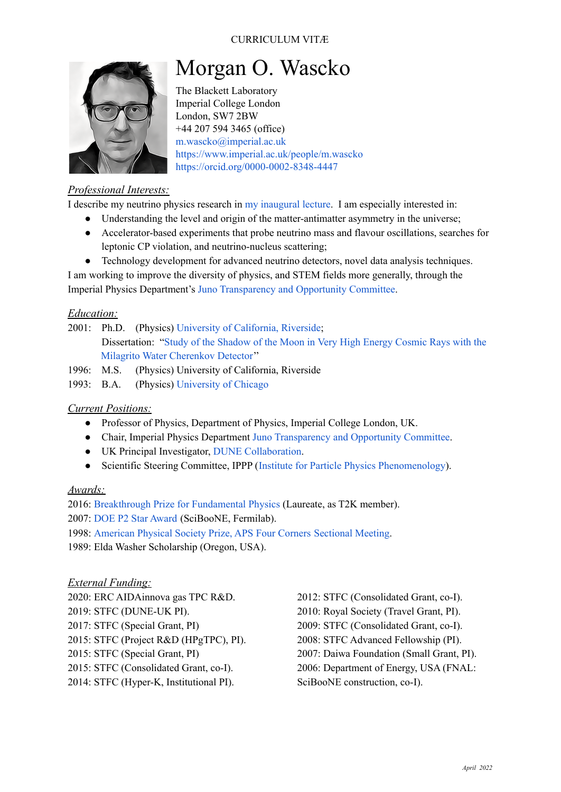# CURRICULUM VITÆ



# Morgan O. Wascko

The Blackett Laboratory Imperial College London London, SW7 2BW +44 207 594 3465 (office) [m.wascko@imperial.ac.uk](mailto:m.wascko@imperial.ac.uk) <https://www.imperial.ac.uk/people/m.wascko> <https://orcid.org/0000-0002-8348-4447>

## *Professional Interests:*

I describe my neutrino physics research in my [inaugural](https://www.youtube.com/watch?v=qUNQenpTrwY) lecture. I am especially interested in:

- Understanding the level and origin of the matter-antimatter asymmetry in the universe;
- Accelerator-based experiments that probe neutrino mass and flavour oscillations, searches for leptonic CP violation, and neutrino-nucleus scattering;
- Technology development for advanced neutrino detectors, novel data analysis techniques.

I am working to improve the diversity of physics, and STEM fields more generally, through the Imperial Physics Department's Juno [Transparency](https://www.imperial.ac.uk/physics/about/juno/) and Opportunity Committee.

#### *Education:*

- 2001: Ph.D. (Physics) University of [California,](https://physics.ucr.edu) Riverside; Dissertation: "Study of the [Shadow](https://ucr.primo.exlibrisgroup.com/permalink/01CDL_RIV_INST/1jkon0k/alma991027863629704706) of the Moon in Very High Energy Cosmic Rays with the Milagrito Water [Cherenkov](https://ucr.primo.exlibrisgroup.com/permalink/01CDL_RIV_INST/1jkon0k/alma991027863629704706) Detector''
- 1996: M.S. (Physics) University of California, Riverside
- 1993: B.A. (Physics) [University](https://college.uchicago.edu/home) of Chicago

#### *Current Positions:*

- Professor of Physics, Department of Physics, Imperial College London, UK.
- Chair, Imperial Physics Department Juno [Transparency](https://www.imperial.ac.uk/physics/about/juno/) and Opportunity Committee.
- UK Principal Investigator, DUNE [Collaboration](https://www.dunescience.org).
- Scientific Steering Committee, IPPP (Institute for Particle Physics [Phenomenology](https://www.ippp.dur.ac.uk/steering-committee/)).

#### *Awards:*

2016: [Breakthrough](https://breakthroughprize.org/Laureates/1/P1/Y2016) Prize for Fundamental Physics (Laureate, as T2K member). 2007: DOE P2 Star [Award](https://www.fnal.gov/pub/today/archive/archive_2008/today08-04-07.html) (SciBooNE, Fermilab). 1998: [American](https://www.aps.org/publications/apsnews/199806/annualmeeting.cfm) Physical Society Prize, APS Four Corners Sectional Meeting.

1989: Elda Washer Scholarship (Oregon, USA).

#### *External Funding:*

2020: ERC AIDAinnova gas TPC R&D. 2019: STFC (DUNE-UK PI). 2017: STFC (Special Grant, PI) 2015: STFC (Project R&D (HPgTPC), PI). 2015: STFC (Special Grant, PI) 2015: STFC (Consolidated Grant, co-I). 2014: STFC (Hyper-K, Institutional PI).

2012: STFC (Consolidated Grant, co-I). 2010: Royal Society (Travel Grant, PI). 2009: STFC (Consolidated Grant, co-I). 2008: STFC Advanced Fellowship (PI). 2007: Daiwa Foundation (Small Grant, PI). 2006: Department of Energy, USA (FNAL: SciBooNE construction, co-I).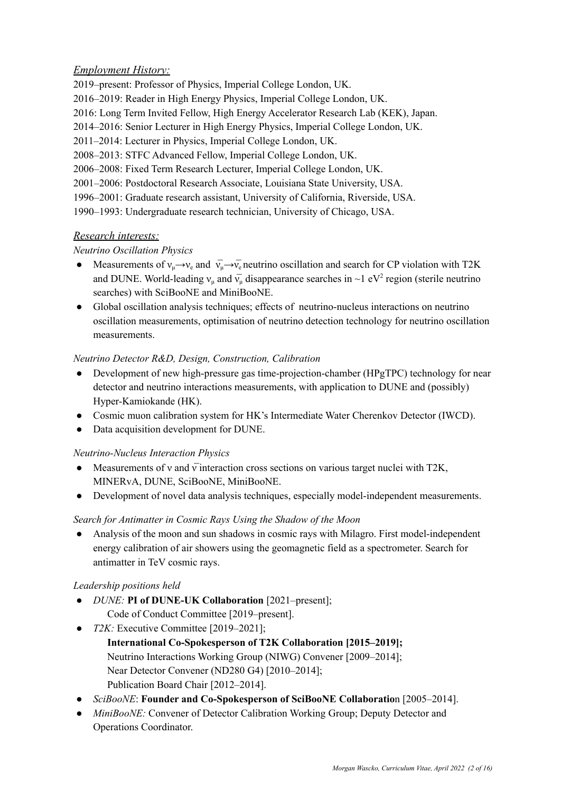# *Employment History:*

2019–present: Professor of Physics, Imperial College London, UK. 2016–2019: Reader in High Energy Physics, Imperial College London, UK. 2016: Long Term Invited Fellow, High Energy Accelerator Research Lab (KEK), Japan. 2014–2016: Senior Lecturer in High Energy Physics, Imperial College London, UK. 2011–2014: Lecturer in Physics, Imperial College London, UK. 2008–2013: STFC Advanced Fellow, Imperial College London, UK. 2006–2008: Fixed Term Research Lecturer, Imperial College London, UK. 2001–2006: Postdoctoral Research Associate, Louisiana State University, USA. 1996–2001: Graduate research assistant, University of California, Riverside, USA. 1990–1993: Undergraduate research technician, University of Chicago, USA.

# *Research interests:*

# *Neutrino Oscillation Physics*

- Measurements of  $v_{\mu} \rightarrow v_{e}$  and  $v_{\mu} \rightarrow v_{e}$  neutrino oscillation and search for CP violation with T2K and DUNE. World-leading  $v_{\mu}$  and  $\bar{v}_{\mu}$  disappearance searches in ~1 eV<sup>2</sup> region (sterile neutrino searches) with SciBooNE and MiniBooNE.
- Global oscillation analysis techniques; effects of neutrino-nucleus interactions on neutrino oscillation measurements, optimisation of neutrino detection technology for neutrino oscillation measurements.

# *Neutrino Detector R&D, Design, Construction, Calibration*

- Development of new high-pressure gas time-projection-chamber (HPgTPC) technology for near detector and neutrino interactions measurements, with application to DUNE and (possibly) Hyper-Kamiokande (HK).
- Cosmic muon calibration system for HK's Intermediate Water Cherenkov Detector (IWCD).
- Data acquisition development for DUNE.

# *Neutrino-Nucleus Interaction Physics*

- Measurements of v and  $\overline{v}$  interaction cross sections on various target nuclei with T2K, MINERvA, DUNE, SciBooNE, MiniBooNE.
- Development of novel data analysis techniques, especially model-independent measurements.

# *Search for Antimatter in Cosmic Rays Using the Shadow of the Moon*

● Analysis of the moon and sun shadows in cosmic rays with Milagro. First model-independent energy calibration of air showers using the geomagnetic field as a spectrometer. Search for antimatter in TeV cosmic rays.

# *Leadership positions held*

- *DUNE:* **PI of DUNE-UK Collaboration** [2021–present]; Code of Conduct Committee [2019–present].
- *T2K:* Executive Committee [2019–2021];
	- **International Co-Spokesperson of T2K Collaboration [2015–2019];** Neutrino Interactions Working Group (NIWG) Convener [2009–2014]; Near Detector Convener (ND280 G4) [2010–2014]; Publication Board Chair [2012–2014].
- *SciBooNE*: **Founder and Co-Spokesperson of SciBooNE Collaboratio**n [2005–2014].
- *MiniBooNE:* Convener of Detector Calibration Working Group; Deputy Detector and Operations Coordinator.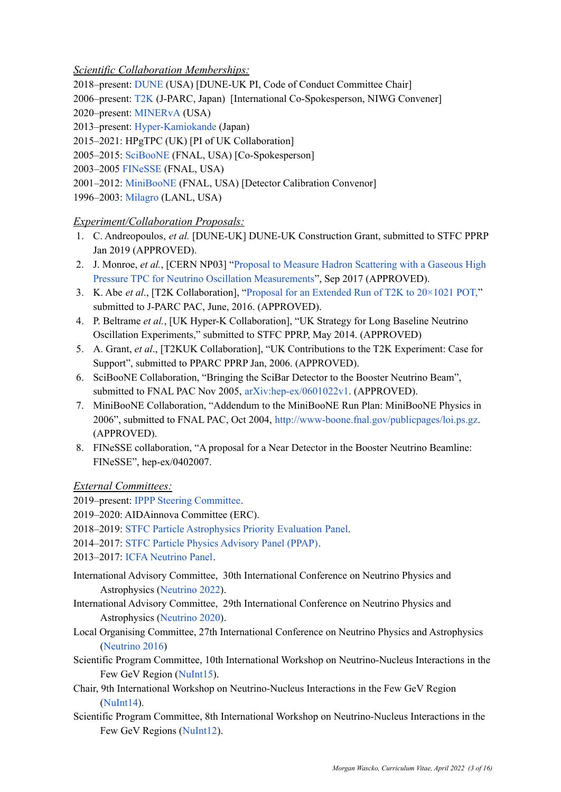## *Scientific Collaboration Memberships:*

2018–present: [DUNE](http://www.dunescience.org) (USA) [DUNE-UK PI, Code of Conduct Committee Chair]

2006–present: [T2K](http://t2k-experiment.org) (J-PARC, Japan) [International Co-Spokesperson, NIWG Convener]

2020–present: [MINERvA](https://minerva.fnal.gov) (USA)

2013–present: [Hyper-Kamiokande](http://www.hyper-k.org) (Japan)

- 2015–2021: HPgTPC (UK) [PI of UK Collaboration]
- 2005–2015: [SciBooNE](https://www-sciboone.fnal.gov) (FNAL, USA) [Co-Spokesperson]

2003–2005 [FINeSSE](https://www-finesse.fnal.gov) (FNAL, USA)

2001–2012: [MiniBooNE](https://www-boone.fnal.gov) (FNAL, USA) [Detector Calibration Convenor]

1996–2003: [Milagro](http://scipp.ucsc.edu/milagro/papers/) (LANL, USA)

# *Experiment/Collaboration Proposals:*

- 1. C. Andreopoulos, *et al.* [DUNE-UK] DUNE-UK Construction Grant, submitted to STFC PPRP Jan 2019 (APPROVED).
- 2. J. Monroe, *et al.*, [CERN NP03] "Proposal to Measure Hadron [Scattering](http://cds.cern.ch/record/2284748?ln=en) with a Gaseous High Pressure TPC for Neutrino Oscillation [Measurements](http://cds.cern.ch/record/2284748?ln=en)", Sep 2017 (APPROVED).
- 3. K. Abe *et al*., [T2K Collaboration], "Proposal for an [Extended](http://inspirehep.net/record/1486612?ln=en) Run of T2K to 20×1021 POT," submitted to J-PARC PAC, June, 2016. (APPROVED).
- 4. P. Beltrame *et al.*, [UK Hyper-K Collaboration], "UK Strategy for Long Baseline Neutrino Oscillation Experiments," submitted to STFC PPRP, May 2014. (APPROVED)
- 5. A. Grant, *et al*., [T2KUK Collaboration], "UK Contributions to the T2K Experiment: Case for Support", submitted to PPARC PPRP Jan, 2006. (APPROVED).
- 6. SciBooNE Collaboration, "Bringing the SciBar Detector to the Booster Neutrino Beam", submitted to FNAL PAC Nov 2005, [arXiv:hep-ex/0601022v1.](http://arxiv.org/abs/hep-ex/0601022v1) (APPROVED).
- 7. MiniBooNE Collaboration, "Addendum to the MiniBooNE Run Plan: MiniBooNE Physics in 2006", submitted to FNAL PAC, Oct 2004, [http://www-boone.fnal.gov/publicpages/loi.ps.gz.](http://www-boone.fnal.gov/publicpages/loi.ps.gz) (APPROVED).
- 8. FINeSSE collaboration, "A proposal for a Near Detector in the Booster Neutrino Beamline: FINeSSE", hep-ex/0402007.

*External Committees:*

- 2019–present: IPPP Steering [Committee.](https://www.ippp.dur.ac.uk/steering-committee)
- 2019–2020: AIDAinnova Committee (ERC).
- 2018–2019: STFC Particle [Astrophysics](https://stfc.ukri.org/about-us/our-purpose-and-priorities/planning-and-strategy/programme-evaluation/balance-of-programme-exercise-ppan/) Priority Evaluation Panel.
- 2014–2017: STFC Particle Physics [Advisory](https://stfc.ukri.org/about-us/how-we-are-governed/advisory-boards/particle-physics-advisory-panel/) Panel (PPAP)[.](http://www.stfc.ac.uk/2415.aspx)
- 2013–2017: ICFA [Neutrino](https://icfa.fnal.gov/panels/neutrino_panel/) Panel.
- International Advisory Committee, 30th International Conference on Neutrino Physics and Astrophysics [\(Neutrino](https://www.neutrino2022.org) 2022).
- International Advisory Committee, 29th International Conference on Neutrino Physics and Astrophysics [\(Neutrino](https://conferences.fnal.gov/nu2020/) 2020).
- Local Organising Committee, 27th International Conference on Neutrino Physics and Astrophysics [\(Neutrino](http://neutrino2016.iopconfs.org/home) 2016)
- Scientific Program Committee, 10th International Workshop on Neutrino-Nucleus Interactions in the Few GeV Region ([NuInt15](http://indico.ipmu.jp/indico/conferenceDisplay.py?confId=46)).
- Chair, 9th International Workshop on Neutrino-Nucleus Interactions in the Few GeV Region [\(NuInt14\)](http://nuint14.iopconfs.org/).
- Scientific Program Committee, 8th International Workshop on Neutrino-Nucleus Interactions in the Few GeV Regions ([NuInt12\)](https://indico.fnal.gov/conferenceDisplay.py?ovw=True&confId=5361).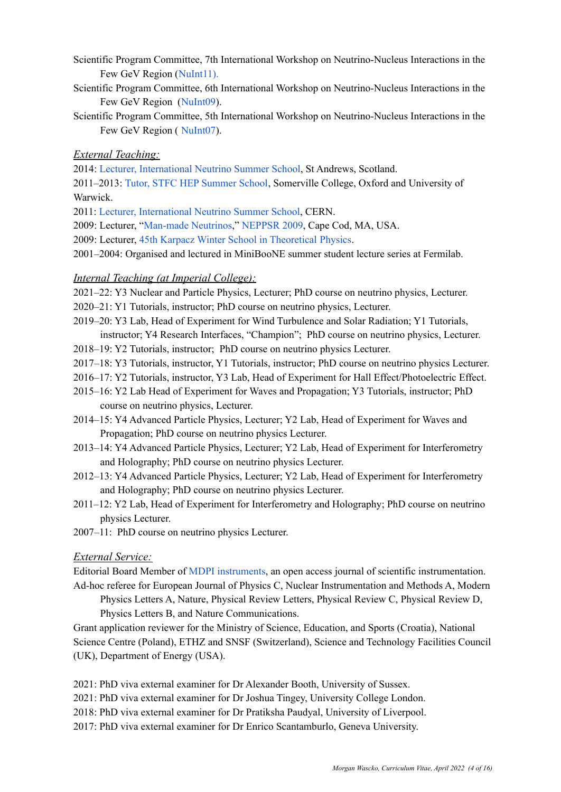- Scientific Program Committee, 7th International Workshop on Neutrino-Nucleus Interactions in the Few GeV Region ([NuInt11](http://nuint11.in/)).
- Scientific Program Committee, 6th International Workshop on Neutrino-Nucleus Interactions in the Few GeV Region ([NuInt09](http://nuint09.ifae.es/)).
- Scientific Program Committee, 5th International Workshop on Neutrino-Nucleus Interactions in the Few GeV Region ( [NuInt07](http://conferences.fnal.gov/nuint07/)).

#### *External Teaching:*

2014: Lecturer, [International](https://indico.cern.ch/event/300715/) Neutrino Summer School, St Andrews, Scotland.

2011–2013: Tutor, STFC HEP [Summer](https://stfc.ukri.org/research/particle-physics-and-particle-astrophysics/hep-summer-school/) School, Somerville College, Oxford and University of Warwick.

- 2011: Lecturer, [International](http://dpnc.unige.ch/NeutrinoSummerSchool2011/) Neutrino Summer School, CERN.
- 2009: Lecturer, "[Man-made](http://physics.bu.edu/NEPPSR/TALKS-2009/Wascko_Neutrinos.pdf) Neutrinos," [NEPPSR](http://physics.bu.edu/NEPPSR/) 2009, Cape Cod, MA, USA.

2009: Lecturer, 45th Karpacz Winter School in [Theoretical](http://wng.ift.uni.wroc.pl/karp45/) Physics.

2001–2004: Organised and lectured in MiniBooNE summer student lecture series at Fermilab.

#### *Internal Teaching (at Imperial College):*

- 2021–22: Y3 Nuclear and Particle Physics, Lecturer; PhD course on neutrino physics, Lecturer.
- 2020–21: Y1 Tutorials, instructor; PhD course on neutrino physics, Lecturer.
- 2019–20: Y3 Lab, Head of Experiment for Wind Turbulence and Solar Radiation; Y1 Tutorials, instructor; Y4 Research Interfaces, "Champion"; PhD course on neutrino physics, Lecturer.
- 2018–19: Y2 Tutorials, instructor; PhD course on neutrino physics Lecturer.
- 2017–18: Y3 Tutorials, instructor, Y1 Tutorials, instructor; PhD course on neutrino physics Lecturer.
- 2016–17: Y2 Tutorials, instructor, Y3 Lab, Head of Experiment for Hall Effect/Photoelectric Effect.
- 2015–16: Y2 Lab Head of Experiment for Waves and Propagation; Y3 Tutorials, instructor; PhD course on neutrino physics, Lecturer.
- 2014–15: Y4 Advanced Particle Physics, Lecturer; Y2 Lab, Head of Experiment for Waves and Propagation; PhD course on neutrino physics Lecturer.
- 2013–14: Y4 Advanced Particle Physics, Lecturer; Y2 Lab, Head of Experiment for Interferometry and Holography; PhD course on neutrino physics Lecturer.
- 2012–13: Y4 Advanced Particle Physics, Lecturer; Y2 Lab, Head of Experiment for Interferometry and Holography; PhD course on neutrino physics Lecturer.
- 2011–12: Y2 Lab, Head of Experiment for Interferometry and Holography; PhD course on neutrino physics Lecturer.
- 2007–11: PhD course on neutrino physics Lecturer.

#### *External Service:*

Editorial Board Member of MDPI [instruments](http://www.mdpi.com/journal/instruments), an open access journal of scientific instrumentation. Ad-hoc referee for European Journal of Physics C, Nuclear Instrumentation and Methods A, Modern

Physics Letters A, Nature, Physical Review Letters, Physical Review C, Physical Review D, Physics Letters B, and Nature Communications.

Grant application reviewer for the Ministry of Science, Education, and Sports (Croatia), National Science Centre (Poland), ETHZ and SNSF (Switzerland), Science and Technology Facilities Council (UK), Department of Energy (USA).

2021: PhD viva external examiner for Dr Alexander Booth, University of Sussex.

- 2021: PhD viva external examiner for Dr Joshua Tingey, University College London.
- 2018: PhD viva external examiner for Dr Pratiksha Paudyal, University of Liverpool.
- 2017: PhD viva external examiner for Dr Enrico Scantamburlo, Geneva University.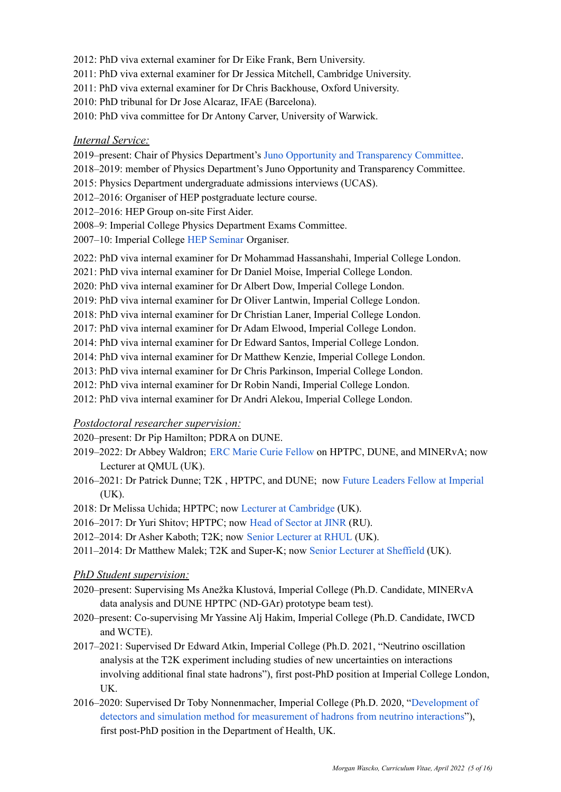- 2012: PhD viva external examiner for Dr Eike Frank, Bern University.
- 2011: PhD viva external examiner for Dr Jessica Mitchell, Cambridge University.
- 2011: PhD viva external examiner for Dr Chris Backhouse, Oxford University.
- 2010: PhD tribunal for Dr Jose Alcaraz, IFAE (Barcelona).
- 2010: PhD viva committee for Dr Antony Carver, University of Warwick.

#### *Internal Service:*

- 2019–present: Chair of Physics Department's Juno Opportunity and [Transparency](https://www.imperial.ac.uk/physics/about/juno/) Committee.
- 2018–2019: member of Physics Department's Juno Opportunity and Transparency Committee.
- 2015: Physics Department undergraduate admissions interviews (UCAS).
- 2012–2016: Organiser of HEP postgraduate lecture course.
- 2012–2016: HEP Group on-site First Aider.
- 2008–9: Imperial College Physics Department Exams Committee.
- 2007–10: Imperial College HEP [Seminar](http://www.hep.ph.ic.ac.uk/seminars.html) Organiser.
- 2022: PhD viva internal examiner for Dr Mohammad Hassanshahi, Imperial College London.
- 2021: PhD viva internal examiner for Dr Daniel Moise, Imperial College London.
- 2020: PhD viva internal examiner for Dr Albert Dow, Imperial College London.
- 2019: PhD viva internal examiner for Dr Oliver Lantwin, Imperial College London.
- 2018: PhD viva internal examiner for Dr Christian Laner, Imperial College London.
- 2017: PhD viva internal examiner for Dr Adam Elwood, Imperial College London.
- 2014: PhD viva internal examiner for Dr Edward Santos, Imperial College London.
- 2014: PhD viva internal examiner for Dr Matthew Kenzie, Imperial College London.
- 2013: PhD viva internal examiner for Dr Chris Parkinson, Imperial College London.
- 2012: PhD viva internal examiner for Dr Robin Nandi, Imperial College London.
- 2012: PhD viva internal examiner for Dr Andri Alekou, Imperial College London.

#### *Postdoctoral researcher supervision:*

- 2020–present: Dr Pip Hamilton; PDRA on DUNE.
- 2019–2022: Dr Abbey Waldron; ERC Marie Curie [Fellow](http://www.hep.ph.ic.ac.uk/~awaldron/) on HPTPC, DUNE, and MINERvA; now Lecturer at QMUL (UK).
- 2016–2021: Dr Patrick Dunne; T2K , HPTPC, and DUNE; now Future Leaders Fellow at [Imperial](https://www.imperial.ac.uk/people/p.dunne12)  $(UK).$
- 2018: Dr Melissa Uchida; HPTPC; now Lecturer at [Cambridge](https://www.phy.cam.ac.uk/directory/dr-melissa-uchida) (UK).
- 2016–2017: Dr Yuri Shitov; HPTPC; now Head of [Sector](https://www.linkedin.com/in/yuri-shitov-000817a/?originalSubdomain=ru) at JINR (RU).
- 2012–2014: Dr Asher Kaboth; T2K; now Senior [Lecturer](https://pure.royalholloway.ac.uk/portal/en/persons/asher-kaboth(579c3f11-b249-4207-97fc-205d6cc54cde).html) at RHUL (UK).
- 2011–2014: Dr Matthew Malek; T2K and Super-K; now Senior Lecturer at [Sheffield](https://www.sheffield.ac.uk/physics/people/academic/matthew-malek) (UK).

#### *PhD Student supervision:*

- 2020–present: Supervising Ms Anežka Klustová, Imperial College (Ph.D. Candidate, MINERvA data analysis and DUNE HPTPC (ND-GAr) prototype beam test).
- 2020–present: Co-supervising Mr Yassine Alj Hakim, Imperial College (Ph.D. Candidate, IWCD and WCTE).
- 2017–2021: Supervised Dr Edward Atkin, Imperial College (Ph.D. 2021, "Neutrino oscillation analysis at the T2K experiment including studies of new uncertainties on interactions involving additional final state hadrons"), first post-PhD position at Imperial College London, UK.
- 2016–2020: Supervised Dr Toby Nonnenmacher, Imperial College (Ph.D. 2020, ["Development](https://spiral.imperial.ac.uk/handle/10044/1/85985) of detectors and simulation method for [measurement](https://spiral.imperial.ac.uk/handle/10044/1/85985) of hadrons from neutrino interactions"), first post-PhD position in the Department of Health, UK.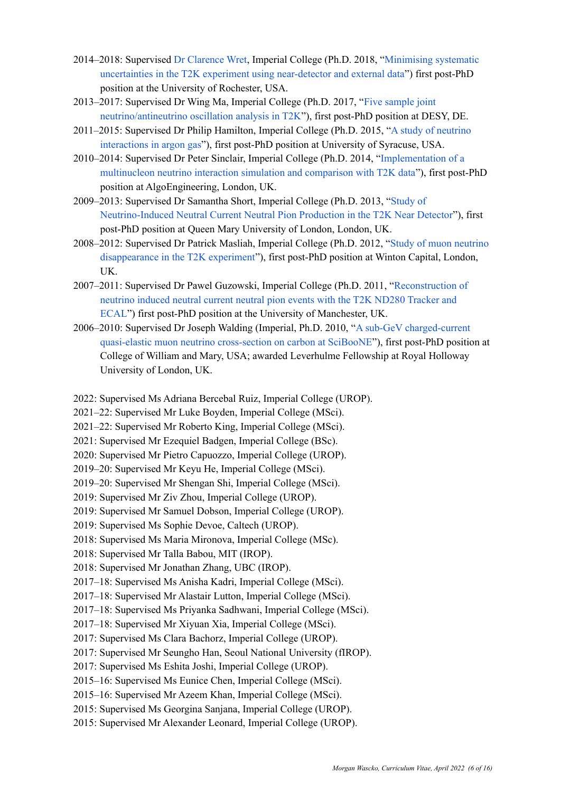- 2014–2018: Supervised Dr [Clarence](http://www.pas.rochester.edu/~cwret/) Wret, Imperial College (Ph.D. 2018, "[Minimising](https://spiral.imperial.ac.uk/handle/10044/1/73862) systematic uncertainties in the T2K experiment using [near-detector](https://spiral.imperial.ac.uk/handle/10044/1/73862) and external data") first post-PhD position at the University of Rochester, USA.
- 2013–2017: Supervised Dr Wing Ma, Imperial College (Ph.D. 2017, "Five [sample](https://spiral.imperial.ac.uk/handle/10044/1/58946) joint [neutrino/antineutrino](https://spiral.imperial.ac.uk/handle/10044/1/58946) oscillation analysis in T2K"), first post-PhD position at DESY, DE.
- 2011–2015: Supervised Dr Philip Hamilton, Imperial College (Ph.D. 2015, "A study of [neutrino](https://spiral.imperial.ac.uk/handle/10044/1/26933) [interactions](https://spiral.imperial.ac.uk/handle/10044/1/26933) in argon gas"), first post-PhD position at University of Syracuse, USA.
- 2010–2014: Supervised Dr Peter Sinclair, Imperial College (Ph.D. 2014, ["Implementation](https://spiral.imperial.ac.uk/handle/10044/1/24690) of a [multinucleon](https://spiral.imperial.ac.uk/handle/10044/1/24690) neutrino interaction simulation and comparison with T2K data"), first post-PhD position at AlgoEngineering, London, UK.
- 2009–2013: Supervised Dr Samantha Short, Imperial College (Ph.D. 2013, ["Study](https://spiral.imperial.ac.uk/handle/10044/1/11688) of [Neutrino-Induced](https://spiral.imperial.ac.uk/handle/10044/1/11688) Neutral Current Neutral Pion Production in the T2K Near Detector"), first post-PhD position at Queen Mary University of London, London, UK.
- 2008–2012: Supervised Dr Patrick Masliah, Imperial College (Ph.D. 2012, "Study of muon [neutrino](https://spiral.imperial.ac.uk/handle/10044/1/9863) [disappearance](https://spiral.imperial.ac.uk/handle/10044/1/9863) in the T2K experiment"), first post-PhD position at Winton Capital, London, UK.
- 2007–2011: Supervised Dr Pawel Guzowski, Imperial College (Ph.D. 2011, "[Reconstruction](https://spiral.imperial.ac.uk/handle/10044/1/11067) of [neutrino](https://spiral.imperial.ac.uk/handle/10044/1/11067) induced neutral current neutral pion events with the T2K ND280 Tracker and [ECAL](https://spiral.imperial.ac.uk/handle/10044/1/11067)") first post-PhD position at the University of Manchester, UK.
- 2006–2010: Supervised Dr Joseph Walding (Imperial, Ph.D. 2010, "A sub-GeV [charged-current](https://www.imperial.ac.uk/media/imperial-college/research-centres-and-groups/high-energy-physics/theses/Walding.pdf) quasi-elastic muon neutrino [cross-section](https://www.imperial.ac.uk/media/imperial-college/research-centres-and-groups/high-energy-physics/theses/Walding.pdf) on carbon at SciBooNE"), first post-PhD position at College of William and Mary, USA; awarded Leverhulme Fellowship at Royal Holloway University of London, UK.
- 2022: Supervised Ms Adriana Bercebal Ruiz, Imperial College (UROP).
- 2021–22: Supervised Mr Luke Boyden, Imperial College (MSci).
- 2021–22: Supervised Mr Roberto King, Imperial College (MSci).
- 2021: Supervised Mr Ezequiel Badgen, Imperial College (BSc).
- 2020: Supervised Mr Pietro Capuozzo, Imperial College (UROP).
- 2019–20: Supervised Mr Keyu He, Imperial College (MSci).
- 2019–20: Supervised Mr Shengan Shi, Imperial College (MSci).
- 2019: Supervised Mr Ziv Zhou, Imperial College (UROP).
- 2019: Supervised Mr Samuel Dobson, Imperial College (UROP).
- 2019: Supervised Ms Sophie Devoe, Caltech (UROP).
- 2018: Supervised Ms Maria Mironova, Imperial College (MSc).
- 2018: Supervised Mr Talla Babou, MIT (IROP).
- 2018: Supervised Mr Jonathan Zhang, UBC (IROP).
- 2017–18: Supervised Ms Anisha Kadri, Imperial College (MSci).
- 2017–18: Supervised Mr Alastair Lutton, Imperial College (MSci).
- 2017–18: Supervised Ms Priyanka Sadhwani, Imperial College (MSci).
- 2017–18: Supervised Mr Xiyuan Xia, Imperial College (MSci).
- 2017: Supervised Ms Clara Bachorz, Imperial College (UROP).
- 2017: Supervised Mr Seungho Han, Seoul National University (fIROP).
- 2017: Supervised Ms Eshita Joshi, Imperial College (UROP).
- 2015–16: Supervised Ms Eunice Chen, Imperial College (MSci).
- 2015–16: Supervised Mr Azeem Khan, Imperial College (MSci).
- 2015: Supervised Ms Georgina Sanjana, Imperial College (UROP).
- 2015: Supervised Mr Alexander Leonard, Imperial College (UROP).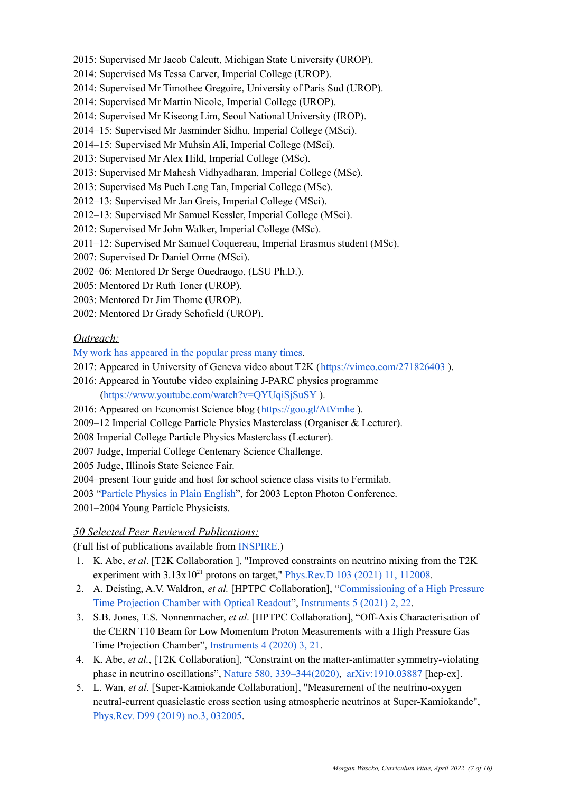- 2015: Supervised Mr Jacob Calcutt, Michigan State University (UROP).
- 2014: Supervised Ms Tessa Carver, Imperial College (UROP).
- 2014: Supervised Mr Timothee Gregoire, University of Paris Sud (UROP).
- 2014: Supervised Mr Martin Nicole, Imperial College (UROP).
- 2014: Supervised Mr Kiseong Lim, Seoul National University (IROP).
- 2014–15: Supervised Mr Jasminder Sidhu, Imperial College (MSci).
- 2014–15: Supervised Mr Muhsin Ali, Imperial College (MSci).
- 2013: Supervised Mr Alex Hild, Imperial College (MSc).
- 2013: Supervised Mr Mahesh Vidhyadharan, Imperial College (MSc).
- 2013: Supervised Ms Pueh Leng Tan, Imperial College (MSc).
- 2012–13: Supervised Mr Jan Greis, Imperial College (MSci).
- 2012–13: Supervised Mr Samuel Kessler, Imperial College (MSci).
- 2012: Supervised Mr John Walker, Imperial College (MSc).
- 2011–12: Supervised Mr Samuel Coquereau, Imperial Erasmus student (MSc).
- 2007: Supervised Dr Daniel Orme (MSci).
- 2002–06: Mentored Dr Serge Ouedraogo, (LSU Ph.D.).
- 2005: Mentored Dr Ruth Toner (UROP).
- 2003: Mentored Dr Jim Thome (UROP).
- 2002: Mentored Dr Grady Schofield (UROP).

#### *Outreach:*

- My work has [appeared](http://www.hep.ph.ic.ac.uk/~wascko/press.html) in the popular press many times.
- 2017: Appeared in University of Geneva video about T2K (<https://vimeo.com/271826403> ).
- 2016: Appeared in Youtube video explaining J-PARC physics programme [\(https://www.youtube.com/watch?v=QYUqiSjSuSY](https://www.youtube.com/watch?v=QYUqiSjSuSY) ).
- 2016: Appeared on Economist Science blog (<https://goo.gl/AtVmhe> ).
- 2009–12 Imperial College Particle Physics Masterclass (Organiser & Lecturer).
- 2008 Imperial College Particle Physics Masterclass (Lecturer).
- 2007 Judge, Imperial College Centenary Science Challenge.
- 2005 Judge, Illinois State Science Fair.

2004–present Tour guide and host for school science class visits to Fermilab.

2003 "Particle [Physics](http://conferences.fnal.gov/lp2003/forthepublic/) in Plain English", for 2003 Lepton Photon Conference.

2001–2004 Young Particle Physicists.

#### *50 Selected Peer Reviewed Publications:*

(Full list of publications available from [INSPIRE.](https://inspirehep.net/literature?sort=mostcited&size=25&page=1&q=find%20a%20wascko#with-citation-summary))

- 1. K. Abe, *et al*. [T2K Collaboration ], "Improved constraints on neutrino mixing from the T2K experiment with  $3.13x10^{21}$  protons on target," [Phys.Rev.D](https://journals.aps.org/prd/abstract/10.1103/PhysRevD.103.112008) 103 (2021) 11, 112008.
- 2. A. Deisting, A.V. Waldron, *et al.* [HPTPC Collaboration], "[Commissioning](https://inspirehep.net/literature/1846550) of a High Pressure Time [Projection](https://inspirehep.net/literature/1846550) Chamber with Optical Readout", [Instruments](https://doi.org/10.3390/instruments5020022) 5 (2021) 2, 22.
- 3. S.B. Jones, T.S. Nonnenmacher, *et al*. [HPTPC Collaboration], "Off-Axis Characterisation of the CERN T10 Beam for Low Momentum Proton Measurements with a High Pressure Gas Time Projection Chamber", [Instruments](https://www.mdpi.com/2410-390X/4/3/21) 4 (2020) 3, 21.
- 4. K. Abe, *et al.*, [T2K Collaboration], "Constraint on the matter-antimatter symmetry-violating phase in neutrino oscillations", Nature 580, [339–344\(2020\)](https://www.nature.com/articles/s41586-020-2177-0), [arXiv:1910.03887](http://arxiv.org/abs/arXiv:1910.03887) [hep-ex].
- 5. L. Wan, *et al*. [Super-Kamiokande Collaboration], "Measurement of the neutrino-oxygen neutral-current quasielastic cross section using atmospheric neutrinos at Super-Kamiokande", [Phys.Rev.](https://journals.aps.org/prd/abstract/10.1103/PhysRevD.99.032005) D99 (2019) no.3, 032005.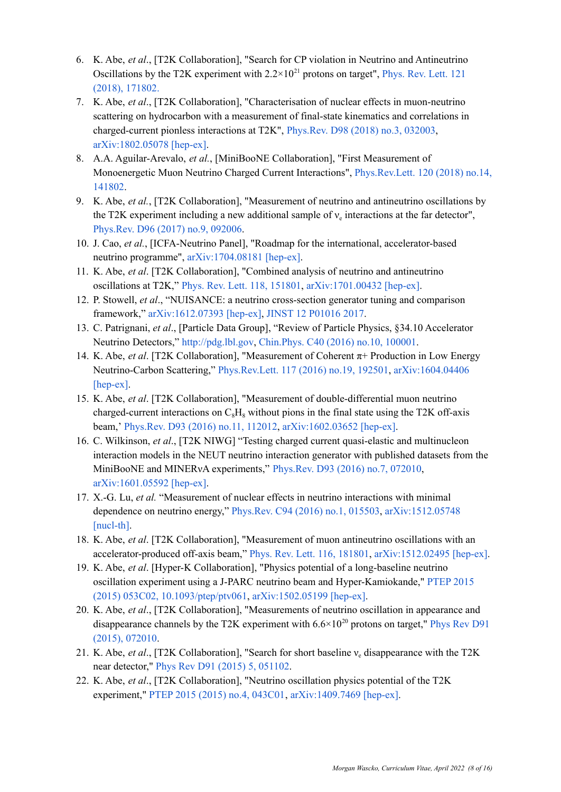- 6. K. Abe, *et al*., [T2K Collaboration], "Search for CP violation in Neutrino and Antineutrino Oscillations by the T2K experiment with  $2.2 \times 10^{21}$  protons on target", [Phys.](https://journals.aps.org/prl/abstract/10.1103/PhysRevLett.121.171802) Rev. Lett. 121 (2018), [171802.](https://journals.aps.org/prl/abstract/10.1103/PhysRevLett.121.171802)
- 7. K. Abe, *et al*., [T2K Collaboration], "Characterisation of nuclear effects in muon-neutrino scattering on hydrocarbon with a measurement of final-state kinematics and correlations in charged-current pionless interactions at T2K", [Phys.Rev.](https://journals.aps.org/prd/abstract/10.1103/PhysRevD.98.032003) D98 (2018) no.3, 032003, [arXiv:1802.05078](https://arxiv.org/abs/1802.05078) [hep-ex].
- 8. A.A. Aguilar-Arevalo, *et al.*, [MiniBooNE Collaboration], "First Measurement of Monoenergetic Muon Neutrino Charged Current Interactions", [Phys.Rev.Lett.](https://journals.aps.org/prl/pdf/10.1103/PhysRevLett.120.141802) 120 (2018) no.14, [141802.](https://journals.aps.org/prl/pdf/10.1103/PhysRevLett.120.141802)
- 9. K. Abe, *et al.*, [T2K Collaboration], "Measurement of neutrino and antineutrino oscillations by the T2K experiment including a new additional sample of  $v_e$  interactions at the far detector", [Phys.Rev.](https://journals.aps.org/prd/abstract/10.1103/PhysRevD.96.092006) D96 (2017) no.9, 092006.
- 10. J. Cao, *et al.*, [ICFA-Neutrino Panel], "Roadmap for the international, accelerator-based neutrino programme", [arXiv:1704.08181](https://arxiv.org/abs/1704.08181) [hep-ex].
- 11. K. Abe, *et al*. [T2K Collaboration], "Combined analysis of neutrino and antineutrino oscillations at T2K," Phys. Rev. Lett. 118, [151801](https://journals.aps.org/prl/abstract/10.1103/PhysRevLett.118.151801), [arXiv:1701.00432](http://inspirehep.net/record/1507465?ln=en) [hep-ex].
- 12. P. Stowell, *et al*., "NUISANCE: a neutrino cross-section generator tuning and comparison framework," [arXiv:1612.07393](http://inspirehep.net/record/1505589?ln=en) [hep-ex], JINST 12 [P01016](http://iopscience.iop.org/article/10.1088/1748-0221/12/01/P01016/) 2017.
- 13. C. Patrignani, *et al*., [Particle Data Group], "Review of Particle Physics, §34.10 Accelerator Neutrino Detectors," [http://pdg.lbl.gov,](http://pdg.lbl.gov) [Chin.Phys.](http://iopscience.iop.org/article/10.1088/1674-1137/40/10/100001/meta) C40 (2016) no.10, 100001.
- 14. K. Abe, *et al*. [T2K Collaboration], "Measurement of Coherent π+ Production in Low Energy Neutrino-Carbon Scattering," [Phys.Rev.Lett.](http://journals.aps.org/prl/abstract/10.1103/PhysRevLett.117.192501) 117 (2016) no.19, 192501, [arXiv:1604.04406](http://inspirehep.net/record/1448099?ln=en) [\[hep-ex\]](http://inspirehep.net/record/1448099?ln=en).
- 15. K. Abe, *et al*. [T2K Collaboration], "Measurement of double-differential muon neutrino charged-current interactions on  $C_8H_8$  without pions in the final state using the T2K off-axis beam,' [Phys.Rev.](http://journals.aps.org/prd/abstract/10.1103/PhysRevD.93.112012) D93 (2016) no.11, 112012, [arXiv:1602.03652](http://inspirehep.net/record/1421157?ln=en) [hep-ex].
- 16. C. Wilkinson, *et al*., [T2K NIWG] "Testing charged current quasi-elastic and multinucleon interaction models in the NEUT neutrino interaction generator with published datasets from the MiniBooNE and MINERνA experiments," [Phys.Rev.](http://dx.doi.org/10.1103/PhysRevD.93.072010) D93 (2016) no.7, 072010, [arXiv:1601.05592](http://inspirehep.net/record/1416471?ln=en) [hep-ex].
- 17. X.-G. Lu, *et al.* "Measurement of nuclear effects in neutrino interactions with minimal dependence on neutrino energy," [Phys.Rev.](http://journals.aps.org/prc/abstract/10.1103/PhysRevC.94.015503) C94 (2016) no.1, 015503, [arXiv:1512.05748](http://inspirehep.net/record/1410087) [\[nucl-th\]](http://inspirehep.net/record/1410087).
- 18. K. Abe, *et al*. [T2K Collaboration], "Measurement of muon antineutrino oscillations with an accelerator-produced off-axis beam," Phys. Rev. Lett. 116, [181801](http://journals.aps.org/prl/abstract/10.1103/PhysRevLett.116.181801), [arXiv:1512.02495](http://inspirehep.net/record/1408741) [hep-ex].
- 19. K. Abe, *et al*. [Hyper-K Collaboration], "Physics potential of a long-baseline neutrino oscillation experiment using a J-PARC neutrino beam and Hyper-Kamiokande," [PTEP](http://ptep.oxfordjournals.org/content/2015/5/053C02) 2015 (2015) 053C02, [10.1093/ptep/ptv061,](http://ptep.oxfordjournals.org/content/2015/5/053C02) [arXiv:1502.05199](http://arxiv.org/abs/1502.01550) [hep-ex].
- 20. K. Abe, *et al*., [T2K Collaboration], "Measurements of neutrino oscillation in appearance and disappearance channels by the T2K experiment with  $6.6 \times 10^{20}$  protons on target," [Phys](http://journals.aps.org/prd/abstract/10.1103/PhysRevD.91.072010) Rev D91 (2015), [072010.](http://journals.aps.org/prd/abstract/10.1103/PhysRevD.91.072010)
- 21. K. Abe, *et al.*, [T2K Collaboration], "Search for short baseline  $v_e$  disappearance with the T2K near detector," Phys Rev D91 (2015) 5, [051102](http://journals.aps.org/prd/abstract/10.1103/PhysRevD.91.051102).
- 22. K. Abe, *et al*., [T2K Collaboration], "Neutrino oscillation physics potential of the T2K experiment," PTEP 2015 (2015) no.4, [043C01](https://academic.oup.com/ptep/article-lookup/doi/10.1093/ptep/ptv031), [arXiv:1409.7469](http://arxiv.org/abs/arXiv:1409.7469) [hep-ex].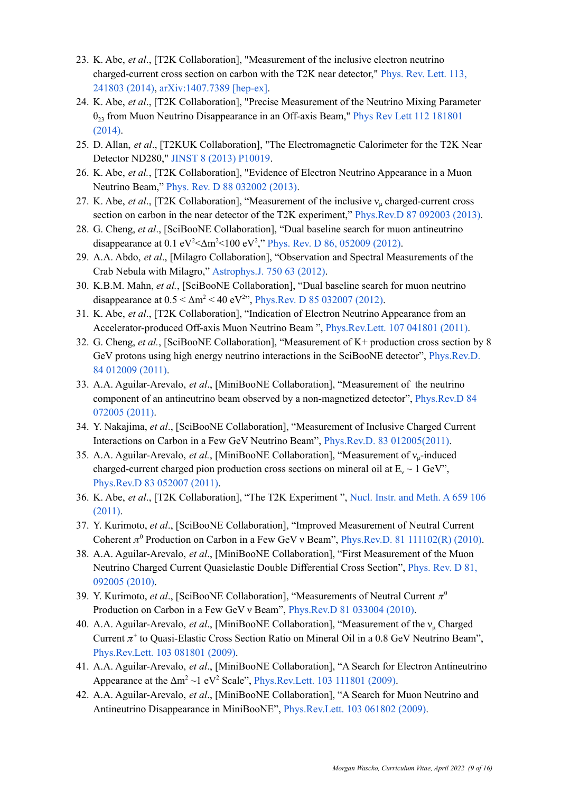- 23. K. Abe, *et al*., [T2K Collaboration], "Measurement of the inclusive electron neutrino charged-current cross section on carbon with the T2K near detector," [Phys.](http://journals.aps.org/prl/abstract/10.1103/PhysRevLett.113.241803) Rev. Lett. 113, [241803](http://journals.aps.org/prl/abstract/10.1103/PhysRevLett.113.241803) (2014), [arXiv:1407.7389](http://arxiv.org/abs/arXiv:1407.7389) [hep-ex].
- 24. K. Abe, *et al*., [T2K Collaboration], "Precise Measurement of the Neutrino Mixing Parameter  $\theta_{23}$  from Muon Neutrino Disappearance in an Off-axis Beam," Phys Rev Lett 112 [181801](http://journals.aps.org/prl/abstract/10.1103/PhysRevLett.112.181801) [\(2014\)](http://journals.aps.org/prl/abstract/10.1103/PhysRevLett.112.181801).
- 25. D. Allan, *et al*., [T2KUK Collaboration], "The Electromagnetic Calorimeter for the T2K Near Detector ND280," JINST 8 (2013) [P10019](http://iopscience.iop.org/1748-0221/8/10/P10019/).
- 26. K. Abe, *et al.*, [T2K Collaboration], "Evidence of Electron Neutrino Appearance in a Muon Neutrino Beam," Phys. Rev. D 88 [032002](http://prd.aps.org/abstract/PRD/v88/i3/e032002) (2013).
- 27. K. Abe, *et al*., [T2K Collaboration], "Measurement of the inclusive ν<sup>μ</sup> charged-current cross section on carbon in the near detector of the T2K experiment," [Phys.Rev.D](http://prd.aps.org/abstract/PRD/v87/i1/e092003) 87 092003 (2013).
- 28. G. Cheng, *et al*., [SciBooNE Collaboration], "Dual baseline search for muon antineutrino disappearance at 0.1 eV<sup>2</sup> < $\Delta$ m<sup>2</sup> < 100 eV<sup>2</sup>," Phys. Rev. D 86, [052009](http://prd.aps.org/abstract/PRD/v86/i5/e052009) (2012).
- 29. A.A. Abdo, *et al*., [Milagro Collaboration], "Observation and Spectral Measurements of the Crab Nebula with Milagro," [Astrophys.J.](http://iopscience.iop.org/0004-637X/750/1/63/) 750 63 (2012).
- 30. K.B.M. Mahn, *et al.*, [SciBooNE Collaboration], "Dual baseline search for muon neutrino disappearance at  $0.5 < \Delta m^2 < 40$  eV<sup>2</sup>", [Phys.Rev.](http://prd.aps.org/abstract/PRD/v85/i3/e032007) D 85 032007 (2012).
- 31. K. Abe, *et al*., [T2K Collaboration], "Indication of Electron Neutrino Appearance from an Accelerator-produced Off-axis Muon Neutrino Beam ", [Phys.Rev.Lett.](http://prl.aps.org/abstract/PRL/v107/i4/e041801) 107 041801 (2011).
- 32. G. Cheng, *et al.*, [SciBooNE Collaboration], "Measurement of K+ production cross section by 8 GeV protons using high energy neutrino interactions in the SciBooNE detector", *[Phys.Rev.D.](http://prd.aps.org/abstract/PRD/v84/i1/e012009)* 84 [012009](http://prd.aps.org/abstract/PRD/v84/i1/e012009) (2011).
- 33. A.A. Aguilar-Arevalo, *et al*., [MiniBooNE Collaboration], "Measurement of the neutrino component of an antineutrino beam observed by a non-magnetized detector", [Phys.Rev.D](http://prd.aps.org/abstract/PRD/v84/i7/e072005) 84 [072005](http://prd.aps.org/abstract/PRD/v84/i7/e072005) (2011).
- 34. Y. Nakajima, *et al*., [SciBooNE Collaboration], "Measurement of Inclusive Charged Current Interactions on Carbon in a Few GeV Neutrino Beam", Phys.Rev.D. 83 [012005\(2011\)](http://prd.aps.org/abstract/PRD/v83/i1/e012005).
- 35. A.A. Aguilar-Arevalo, *et al.*, [MiniBooNE Collaboration], "Measurement of νμ-induced charged-current charged pion production cross sections on mineral oil at  $E_v \sim 1$  GeV"[,](http://prd.aps.org/abstract/PRD/v83/i5/e052007) [Phys.Rev.D](http://prd.aps.org/abstract/PRD/v83/i5/e052007) 83 052007 (2011).
- 36. K. Abe, *et al*., [T2K Collaboration], "The T2K Experiment ", Nucl. Instr. and [Meth.](http://www.sciencedirect.com/science/article/pii/S0168900211011910) A 659 106 [\(2011\).](http://www.sciencedirect.com/science/article/pii/S0168900211011910)
- 37. Y. Kurimoto, *et al*., [SciBooNE Collaboration], "Improved Measurement of Neutral Current Coherent  $\pi^0$  Production on Carbon in a Few GeV v Beam", [Phys.Rev.D.](http://prd.aps.org/abstract/PRD/v81/i11/e111102) 81 111102(R) (2010).
- 38. A.A. Aguilar-Arevalo, *et al*., [MiniBooNE Collaboration], "First Measurement of the Muon Neutrino Charged Current Quasielastic Double Differential Cross Section", [Phys.](http://prd.aps.org/abstract/PRD/v81/i9/e092005) Rev. D 81, [092005](http://prd.aps.org/abstract/PRD/v81/i9/e092005) (2010).
- 39. Y. Kurimoto, *et al.*, [SciBooNE Collaboration], "Measurements of Neutral Current  $\pi^0$ Production on Carbon in a Few GeV ν Beam", [Phys.Rev.D](http://prd.aps.org/abstract/PRD/v81/i3/e033004) 81 033004 (2010).
- 40. A.A. Aguilar-Arevalo, *et al*., [MiniBooNE Collaboration], "Measurement of the ν<sup>μ</sup> Charged Current  $\pi^+$  to Quasi-Elastic Cross Section Ratio on Mineral Oil in a 0.8 GeV Neutrino Beam", [Phys.Rev.Lett.](http://prl.aps.org/abstract/PRL/v103/i8/e081801) 103 081801 (2009).
- 41. A.A. Aguilar-Arevalo, *et al*., [MiniBooNE Collaboration], "A Search for Electron Antineutrino Appearance at the  $\Delta m^2 \sim 1$  eV<sup>2</sup> Scale", [Phys.Rev.Lett.](http://prl.aps.org/abstract/PRL/v103/i11/e111801) 103 111801 (2009).
- 42. A.A. Aguilar-Arevalo, *et al*., [MiniBooNE Collaboration], "A Search for Muon Neutrino and Antineutrino Disappearance in MiniBooNE", [Phys.Rev.Lett.](http://prl.aps.org/abstract/PRL/v103/i6/e061802) 103 061802 (2009).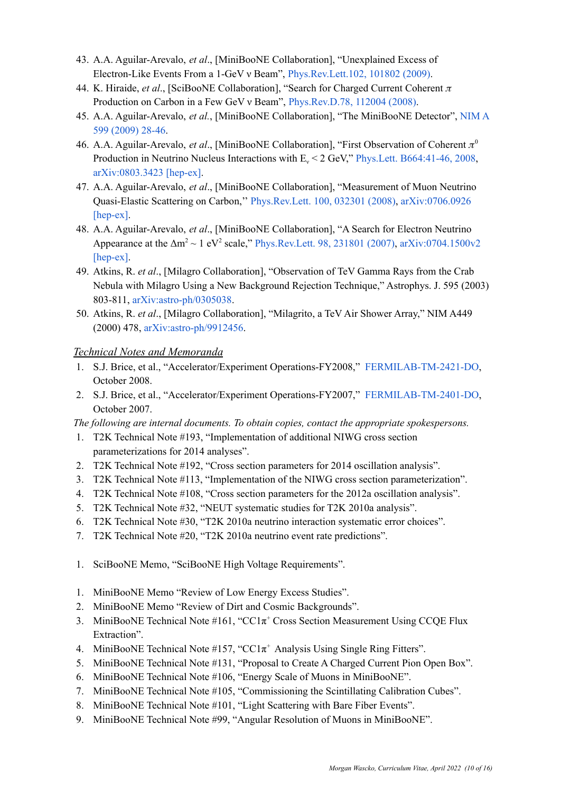- 43. A.A. Aguilar-Arevalo, *et al*., [MiniBooNE Collaboration], "Unexplained Excess of Electron-Like Events From a 1-GeV ν Beam", [Phys.Rev.Lett.102,](http://prl.aps.org/abstract/PRL/v102/i10/e101802) 101802 (2009).
- 44. K. Hiraide, *et al.*, [SciBooNE Collaboration], "Search for Charged Current Coherent  $\pi$ Production on Carbon in a Few GeV v Beam", [Phys.Rev.D.78,](http://prd.aps.org/abstract/PRD/v78/i11/e112004) 112004 (2008).
- 45. A.A. Aguilar-Arevalo, *et al.*, [MiniBooNE Collaboration], "The MiniBooNE Detector", [NIM](http://www.sciencedirect.com/science/article/pii/S0168900208015404) A 599 [\(2009\)](http://www.sciencedirect.com/science/article/pii/S0168900208015404) 28-46.
- 46. A.A. Aguilar-Arevalo, *et al.*, [MiniBooNE Collaboration], "First Observation of Coherent  $\pi^0$ Production in Neutrino Nucleus Interactions with  $E_v < 2$  GeV," Phys. Lett. [B664:41-46,](http://www.sciencedirect.com/science/article/pii/S0370269308005686) 2008[,](http://arxiv.org/abs/0803.3423) [arXiv:0803.3423](http://arxiv.org/abs/0803.3423) [hep-ex].
- 47. A.A. Aguilar-Arevalo, *et al*., [MiniBooNE Collaboration], "Measurement of Muon Neutrino Quasi-Elastic Scattering on Carbon,'' [Phys.Rev.Lett.](http://prl.aps.org/abstract/PRL/v100/i3/e032301) 100, 032301 (2008), [arXiv:0706.0926](http://arxiv.org/abs/0706.0926) [\[hep-ex\]](http://arxiv.org/abs/0706.0926).
- 48. A.A. Aguilar-Arevalo, *et al*., [MiniBooNE Collaboration], "A Search for Electron Neutrino Appearance at the  $\Delta m^2 \sim 1$  eV<sup>2</sup> scale," [Phys.Rev.Lett.](http://prl.aps.org/abstract/PRL/v98/i23/e231801) 98, 231801 (2007), [arXiv:0704.1500v2](http://arxiv.org/abs/0704.1500) [\[hep-ex\]](http://arxiv.org/abs/0704.1500).
- 49. Atkins, R. *et al*., [Milagro Collaboration], "Observation of TeV Gamma Rays from the Crab Nebula with Milagro Using a New Background Rejection Technique," Astrophys. J. 595 (2003) 803-811, [arXiv:astro-ph/0305038](http://arxiv.org/abs/astro-ph/0305308).
- 50. Atkins, R. *et al*., [Milagro Collaboration], "Milagrito, a TeV Air Shower Array," NIM A449 (2000) 478, [arXiv:astro-ph/9912456.](http://arxiv.org/abs/astro-ph/9912456)

## *Technical Notes and Memoranda*

- 1. S.J. Brice, et al., "Accelerator/Experiment Operations-FY2008," [FERMILAB-TM-2421-DO,](http://lss.fnal.gov/archive/test-tm/2000/fermilab-tm-2421-do.shtml) October 2008.
- 2. S.J. Brice, et al., "Accelerator/Experiment Operations-FY2007," [FERMILAB-TM-2401-DO,](http://lss.fnal.gov/archive/test-tm/2000/fermilab-tm-2401-do.shtml) October 2007.

*The following are internal documents. To obtain copies, contact the appropriate spokespersons.*

- 1. T2K Technical Note #193, "Implementation of additional NIWG cross section parameterizations for 2014 analyses".
- 2. T2K Technical Note #192, "Cross section parameters for 2014 oscillation analysis".
- 3. T2K Technical Note #113, "Implementation of the NIWG cross section parameterization".
- 4. T2K Technical Note #108, "Cross section parameters for the 2012a oscillation analysis".
- 5. T2K Technical Note #32, "NEUT systematic studies for T2K 2010a analysis".
- 6. T2K Technical Note #30, "T2K 2010a neutrino interaction systematic error choices".
- 7. T2K Technical Note #20, "T2K 2010a neutrino event rate predictions".
- 1. SciBooNE Memo, "SciBooNE High Voltage Requirements".
- 1. MiniBooNE Memo "Review of Low Energy Excess Studies".
- 2. MiniBooNE Memo "Review of Dirt and Cosmic Backgrounds".
- 3. MiniBooNE Technical Note  $#161$ , "CC1 $\pi$ <sup>+</sup> Cross Section Measurement Using CCQE Flux Extraction".
- 4. MiniBooNE Technical Note  $#157$ , "CC1 $\pi$ <sup>+</sup> Analysis Using Single Ring Fitters".
- 5. MiniBooNE Technical Note #131, "Proposal to Create A Charged Current Pion Open Box".
- 6. MiniBooNE Technical Note #106, "Energy Scale of Muons in MiniBooNE".
- 7. MiniBooNE Technical Note #105, "Commissioning the Scintillating Calibration Cubes".
- 8. MiniBooNE Technical Note #101, "Light Scattering with Bare Fiber Events".
- 9. MiniBooNE Technical Note #99, "Angular Resolution of Muons in MiniBooNE".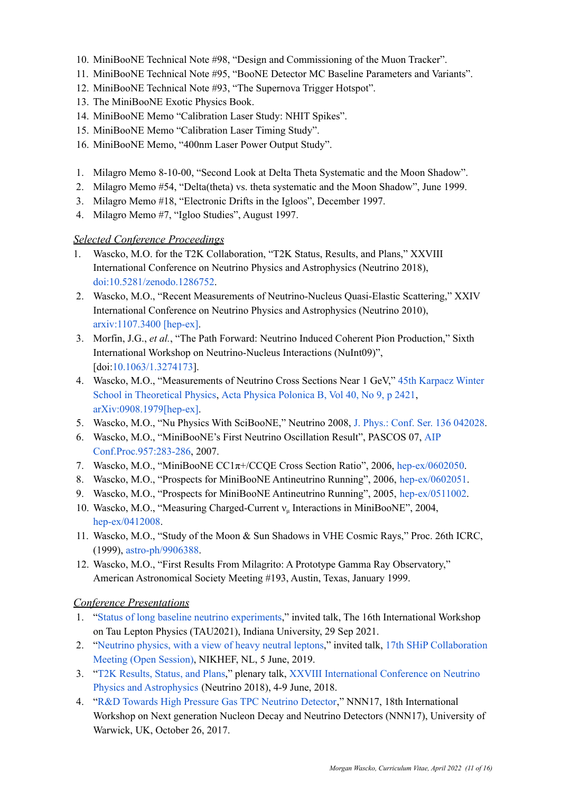- 10. MiniBooNE Technical Note #98, "Design and Commissioning of the Muon Tracker".
- 11. MiniBooNE Technical Note #95, "BooNE Detector MC Baseline Parameters and Variants".
- 12. MiniBooNE Technical Note #93, "The Supernova Trigger Hotspot".
- 13. The MiniBooNE Exotic Physics Book.
- 14. MiniBooNE Memo "Calibration Laser Study: NHIT Spikes".
- 15. MiniBooNE Memo "Calibration Laser Timing Study".
- 16. MiniBooNE Memo, "400nm Laser Power Output Study".
- 1. Milagro Memo 8-10-00, "Second Look at Delta Theta Systematic and the Moon Shadow".
- 2. Milagro Memo #54, "Delta(theta) vs. theta systematic and the Moon Shadow", June 1999.
- 3. Milagro Memo #18, "Electronic Drifts in the Igloos", December 1997.
- 4. Milagro Memo #7, "Igloo Studies", August 1997.

## *Selected Conference Proceedings*

- 1. Wascko, M.O. for the T2K Collaboration, "T2K Status, Results, and Plans," XXVIII International Conference on Neutrino Physics and Astrophysics (Neutrino 2018), [doi:10.5281/zenodo.1286752.](https://doi.org/10.5281/zenodo.1286752)
- 2. Wascko, M.O., "Recent Measurements of Neutrino-Nucleus Quasi-Elastic Scattering," XXIV International Conference on Neutrino Physics and Astrophysics (Neutrino 2010), [arxiv:1107.3400](http://arxiv.org/abs/1107.3400v1) [hep-ex].
- 3. Morfin, J.G., *et al.*, "The Path Forward: Neutrino Induced Coherent Pion Production," Sixth International Workshop on Neutrino-Nucleus Interactions (NuInt09)", [doi:[10.1063/1.3274173](http://dx.doi.org/10.1063/1.3274173)].
- 4. Wascko, M.O., "Measurements of Neutrino Cross Sections Near 1 GeV," 45th [Karpacz](http://wng.ift.uni.wroc.pl/karp45/) Winter School in [Theoretical](http://wng.ift.uni.wroc.pl/karp45/) Physics, Acta Physica [Polonica](http://th-www.if.uj.edu.pl/acta/vol40/t9.htm) B, Vol 40, No 9, p 2421[,](http://arxiv.org/abs/0908.1979) [arXiv:0908.1979\[hep-ex\].](http://arxiv.org/abs/0908.1979)
- 5. Wascko, M.O., "Nu Physics With SciBooNE," Neutrino 2008, J. Phys.: Conf. Ser. 136 [042028](http://www.iop.org/EJ/abstract/1742-6596/136/4/042028).
- 6. Wascko, M.O., "MiniBooNE's First Neutrino Oscillation Result", PASCOS 07, [AIP](http://usparc.ihep.su/spires/find/hep/www?j=APCPC,957,283) [Conf.Proc.957:283-286,](http://usparc.ihep.su/spires/find/hep/www?j=APCPC,957,283) 2007.
- 7. Wascko, M.O., "MiniBooNE CC1π+/CCQE Cross Section Ratio", 2006, [hep-ex/0602050](http://arxiv.org/abs/hep-ex/0602050).
- 8. Wascko, M.O., "Prospects for MiniBooNE Antineutrino Running", 2006, [hep-ex/0602051](http://arxiv.org/abs/hep-ex/0602051).
- 9. Wascko, M.O., "Prospects for MiniBooNE Antineutrino Running", 2005, [hep-ex/0511002.](http://arxiv.org/abs/hep-ex/0511002)
- 10. Wascko, M.O., "Measuring Charged-Current ν<sup>μ</sup> Interactions in MiniBooNE", 2004, [hep-ex/0412008](http://arxiv.org/abs/hep-ex/0412008).
- 11. Wascko, M.O., "Study of the Moon & Sun Shadows in VHE Cosmic Rays," Proc. 26th ICRC, (1999), [astro-ph/9906388](http://arxiv.org/abs/astro-ph/9906388).
- 12. Wascko, M.O., "First Results From Milagrito: A Prototype Gamma Ray Observatory," American Astronomical Society Meeting #193, Austin, Texas, January 1999.

# *Conference Presentations*

- 1. "Status of long baseline neutrino [experiments,](https://indico.cern.ch/event/848732/contributions/4507388/)" invited talk, The 16th International Workshop on Tau Lepton Physics (TAU2021), Indiana University, 29 Sep 2021.
- 2. "[Neutrino](http://www.hep.ph.ic.ac.uk/~wascko/talks/wascko_20190605.pdf) physics, with a view of heavy neutral leptons," invited talk, 17th SHiP [Collaboration](https://indico.cern.ch/event/803758/sessions/312232/#20190605) Meeting (Open [Session\),](https://indico.cern.ch/event/803758/sessions/312232/#20190605) NIKHEF, NL, 5 June, 2019.
- 3. "T2K [Results,](https://zenodo.org/record/1286752#.W6ED6S2ZNTY) Status, and Plans," plenary talk, XXVIII [International](https://www.mpi-hd.mpg.de/nu2018/programme) Conference on Neutrino Physics and [Astrophysics](https://www.mpi-hd.mpg.de/nu2018/programme) (Neutrino 2018), 4-9 June, 2018.
- 4. "R&D Towards High Pressure Gas TPC [Neutrino](https://indico.cern.ch/event/657167/contributions/2708021/) Detector," NNN17, 18th International Workshop on Next generation Nucleon Decay and Neutrino Detectors (NNN17), University of Warwick, UK, October 26, 2017.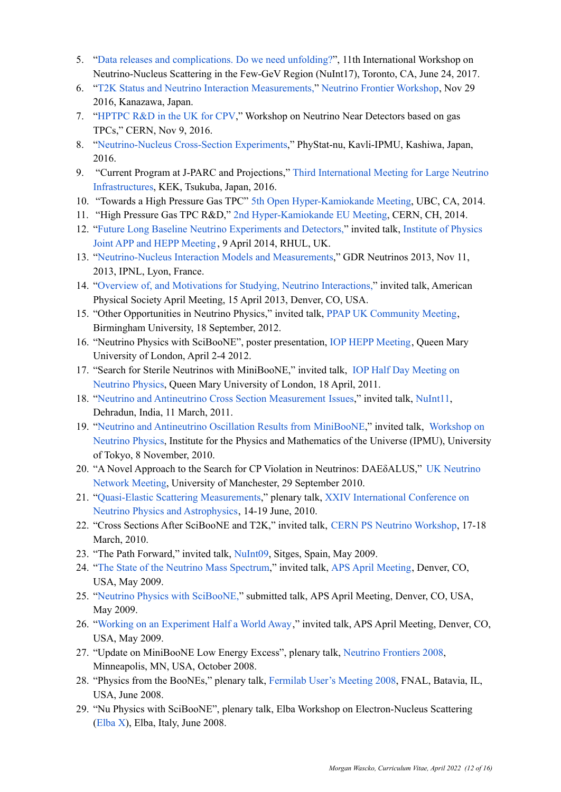- 5. "Data releases and [complications.](https://meetings.triumf.ca/indico/event/12/session/5/contribution/17/material/slides/0.pdf) Do we need unfolding?", 11th International Workshop on Neutrino-Nucleus Scattering in the Few-GeV Region (NuInt17), Toronto, CA, June 24, 2017.
- 6. "T2K Status and Neutrino Interaction [Measurements,"](https://www.dropbox.com/s/cxuo22sfhksjw78/wascko_20161129.pdf?dl=0) Neutrino Frontier [Workshop,](https://indico.cern.ch/event/559983/timetable/) Nov 29 2016, Kanazawa, Japan.
- 7. "[HPTPC](https://indico.cern.ch/event/568177/sessions/209463/#20161109) R&D in the UK for CPV," Workshop on Neutrino Near Detectors based on gas TPCs," CERN, Nov 9, 2016.
- 8. "[Neutrino-Nucleus](http://indico.ipmu.jp/indico/contributionDisplay.py?contribId=9&sessionId=2&confId=82) Cross-Section Experiments," PhyStat-nu, Kavli-IPMU, Kashiwa, Japan, 2016.
- 9. "Current Program at J-PARC and Projections," Third [International](https://kds.kek.jp/indico/event/20176/other-view?view=standard#20160530.detailed) Meeting for Large Neutrino [Infrastructures](https://kds.kek.jp/indico/event/20176/other-view?view=standard#20160530.detailed), KEK, Tsukuba, Japan, 2016.
- 10. "Towards a High Pressure Gas TPC" 5th Open [Hyper-Kamiokande](http://indico.ipmu.jp/indico/contributionDisplay.py?sessionId=28&contribId=77&confId=34) Meeting, UBC, CA, 2014.
- 11. "High Pressure Gas TPC R&D," 2nd [Hyper-Kamiokande](https://indico.cern.ch/event/319681/timetable/%2320140618) EU Meeting, CERN, CH, 2014.
- 12. "Future Long Baseline Neutrino [Experiments](https://indico.cern.ch/event/266149/session/8/contribution/10/material/slides/0.pdf) and Detectors," invited talk, [Institute](https://indico.cern.ch/event/266149/) of Physics Joint APP and HEPP [Meeting](https://indico.cern.ch/event/266149/) , 9 April 2014, RHUL, UK.
- 13. "[Neutrino-Nucleus](https://indico.in2p3.fr/event/8917/session/3/contribution/20) Interaction Models and Measurements," GDR Neutrinos 2013, Nov 11, 2013, IPNL, Lyon, France.
- 14. "Overview of, and Motivations for Studying, Neutrino [Interactions,](http://meetings.aps.org/Meeting/APR13/Event/193864)" invited talk, American Physical Society April Meeting, 15 April 2013, Denver, CO, USA.
- 15. "Other Opportunities in Neutrino Physics," invited talk, PPAP UK [Community](http://conference.ippp.dur.ac.uk/conferenceDisplay.py?confId=332) Meeting, Birmingham University, 18 September, 2012.
- 16. "Neutrino Physics with SciBooNE", poster presentation, IOP HEPP [Meeting](https://indico.cern.ch/conferenceDisplay.py?ovw=True&confId=175304), Queen Mary University of London, April 2-4 2012.
- 17. "Search for Sterile Neutrinos with MiniBooNE," invited talk, IOP Half Day [Meeting](http://indico.cern.ch/conferenceDisplay.py?confId=110799) on [Neutrino](http://indico.cern.ch/conferenceDisplay.py?confId=110799) Physics, Queen Mary University of London, 18 April, 2011.
- 18. "Neutrino and Antineutrino Cross Section [Measurement](http://www.hep.ph.ic.ac.uk/~wascko/talks/wascko_20110311.pdf) Issues," invited talk, [NuInt11](http://nuint11.in/), Dehradun, India, 11 March, 2011.
- 19. "Neutrino and [Antineutrino](http://www.hep.ph.ic.ac.uk/~wascko/talks/wascko_20101108.pdf) Oscillation Results from MiniBooNE," invited talk, [Workshop](http://www.ipmu.jp/node/828) on [Neutrino](http://www.ipmu.jp/node/828) Physics, Institute for the Physics and Mathematics of the Universe (IPMU), University of Tokyo, 8 November, 2010.
- 20. "A Novel Approach to the Search for CP Violation in Neutrinos: DAEδALUS," UK [Neutrino](http://www.hep.manchester.ac.uk/meeting/uk-neutrino/) [Network](http://www.hep.manchester.ac.uk/meeting/uk-neutrino/) Meeting, University of Manchester, 29 September 2010.
- 21. "Quasi-Elastic Scattering [Measurements](http://indico.cern.ch/contributionDisplay.py?contribId=246&confId=73981)," plenary talk, XXIV [International](http://www.neutrino2010.gr/) Conference on Neutrino Physics and [Astrophysics](http://www.neutrino2010.gr/), 14-19 June, 2010.
- 22. "Cross Sections After SciBooNE and T2K," invited talk, CERN PS Neutrino [Workshop,](http://indico.cern.ch/conferenceDisplay.py?confId=87234) 17-18 March, 2010.
- 23. "The Path Forward," invited talk, [NuInt09](http://nuint09.ifae.es/), Sitges, Spain, May 2009.
- 24. "The State of the Neutrino Mass [Spectrum](http://www.hep.ph.ic.ac.uk/~wascko/talks/wascko_20090502.pdf)," invited talk, APS April [Meeting,](http://meetings.aps.org/Meeting/APR09/Event/101735) Denver, CO, USA, May 2009.
- 25. "Neutrino Physics with [SciBooNE,](http://meetings.aps.org/Meeting/APR09/Event/102075)" submitted talk, APS April Meeting, Denver, CO, USA, May 2009.
- 26. "Working on an [Experiment](http://meetings.aps.org/Meeting/APR09/Event/103091) Half a World Away," invited talk, APS April Meeting, Denver, CO, USA, May 2009.
- 27. "Update on MiniBooNE Low Energy Excess", plenary talk, Neutrino [Frontiers](http://www.ftpi.umn.edu/neutrinos08/) 2008, Minneapolis, MN, USA, October 2008.
- 28. "Physics from the BooNEs," plenary talk, [Fermilab](http://www.fnal.gov/orgs/fermilab_users_org/users_mtg/2008/) User's Meeting 2008, FNAL, Batavia, IL, USA, June 2008.
- 29. "Nu Physics with SciBooNE", plenary talk, Elba Workshop on Electron-Nucleus Scattering ([Elba](http://conferences.jlab.org/elba/) X), Elba, Italy, June 2008.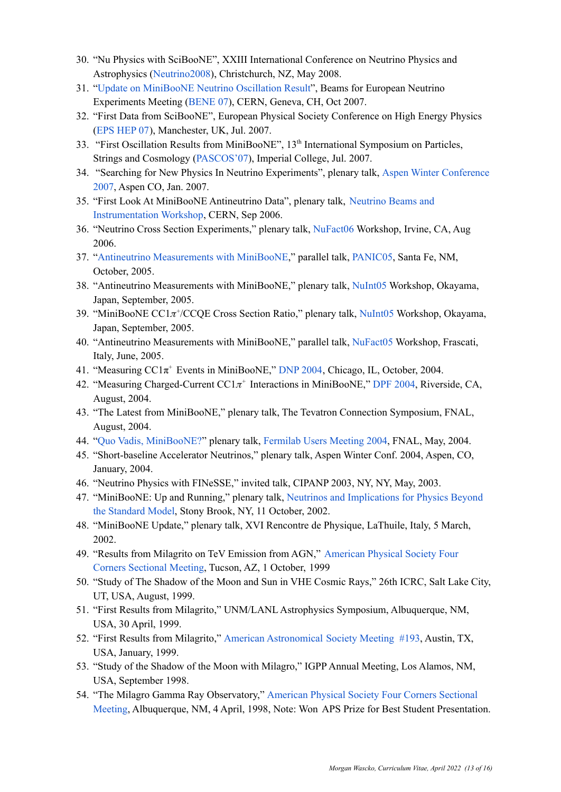- 30. "Nu Physics with SciBooNE", XXIII International Conference on Neutrino Physics and Astrophysics ([Neutrino2008\)](http://www2.phys.canterbury.ac.nz/~jaa53/), Christchurch, NZ, May 2008.
- 31. "Update on [MiniBooNE](https://www-boone.fnal.gov/slides-talks/conf-talk/wascko/wascko_bene07_20071029.pdf) Neutrino Oscillation Result", Beams for European Neutrino Experiments Meeting [\(BENE](http://care07.web.cern.ch/CARE07/Index.htm) 07), CERN, Geneva, CH, Oct 2007.
- 32. "First Data from SciBooNE", European Physical Society Conference on High Energy Physics (EPS [HEP](http://www.hep.man.ac.uk/HEP2007/) 07), Manchester, UK, Jul. 2007.
- 33. "First Oscillation Results from MiniBooNE", 13<sup>th</sup> International Symposium on Particles, Strings and Cosmology ([PASCOS'07\)](http://www.pascos07.org/), Imperial College, Jul. 2007.
- 34. "Searching for New Physics In Neutrino Experiments", plenary talk, Aspen Winter [Conference](http://conferences.fnal.gov/aspen07/) [2007,](http://conferences.fnal.gov/aspen07/) Aspen CO, Jan. 2007.
- 35. "First Look At MiniBooNE Antineutrino Data", plenary talk, [Neutrino](http://proj-cngs.web.cern.ch/proj-cngs/NBI2006/NBI2006.html) Beams and [Instrumentation](http://proj-cngs.web.cern.ch/proj-cngs/NBI2006/NBI2006.html) Workshop, CERN, Sep 2006.
- 36. "Neutrino Cross Section Experiments," plenary talk, [NuFact06](http://nufact06.physics.uci.edu/) Workshop, Irvine, CA, Aug 2006.
- 37. "Antineutrino [Measurements](http://www.panic05.lanl.gov/abstracts/570/wascko_570_panic05_20051024.pdf) with MiniBooNE," parallel talk, [PANIC05](http://www.panic05.lanl.gov/), Santa Fe, NM, October, 2005.
- 38. "Antineutrino Measurements with MiniBooNE," plenary talk, [NuInt05](http://fphy.hep.okayama-u.ac.jp/NuInt05/) Workshop, Okayama, Japan, September, 2005.
- 39. "MiniBooNE CC1 $\pi$ <sup>+</sup>/CCQE Cross Section Ratio," plenary talk, [NuInt05](http://fphy.hep.okayama-u.ac.jp/NuInt05/) Workshop, Okayama, Japan, September, 2005.
- 40. "Antineutrino Measurements with MiniBooNE," parallel talk, [NuFact05](http://www.lnf.infn.it/conference/2005/nufact05/) Workshop, Frascati, Italy, June, 2005.
- 41. "Measuring CC1π <sup>+</sup> Events in MiniBooNE," DNP [2004,](http://www.aps.org/meetings/baps/dnp04.cfm) Chicago, IL, October, 2004.
- 42. "Measuring Charged-Current  $CC1\pi$ <sup>+</sup> Interactions in MiniBooNE," DPF [2004](http://dpf2004.ucr.edu/), Riverside, CA, August, 2004.
- 43. "The Latest from MiniBooNE," plenary talk, The Tevatron Connection Symposium, FNAL, August, 2004.
- 44. "Quo Vadis, [MiniBooNE?"](https://www-boone.fnal.gov/slides-talks/other-talk/wascko/wascko_users_2004.pdf) plenary talk, [Fermilab](http://www.fnal.gov/orgs/fermilab_users_org/users_mtg/2004/users_2004.html) Users Meeting 2004, FNAL, May, 2004.
- 45. "Short-baseline Accelerator Neutrinos," plenary talk, Aspen Winter Conf. 2004, Aspen, CO, January, 2004.
- 46. "Neutrino Physics with FINeSSE," invited talk, CIPANP 2003, NY, NY, May, 2003.
- 47. "MiniBooNE: Up and Running," plenary talk, Neutrinos and [Implications](http://insti.physics.sunysb.edu/ITP/conf/neutrino.html) for Physics Beyond the [Standard](http://insti.physics.sunysb.edu/ITP/conf/neutrino.html) Model, Stony Brook, NY, 11 October, 2002.
- 48. "MiniBooNE Update," plenary talk, XVI Rencontre de Physique, LaThuile, Italy, 5 March, 2002.
- 49. "Results from Milagrito on TeV Emission from AGN," [American](http://www.aps.org/meetings/baps/4cf99.cfm) Physical Society Four Corners [Sectional](http://www.aps.org/meetings/baps/4cf99.cfm) Meeting, Tucson, AZ, 1 October, 1999
- 50. "Study of The Shadow of the Moon and Sun in VHE Cosmic Rays," 26th ICRC, Salt Lake City, UT, USA, August, 1999.
- 51. "First Results from Milagrito," UNM/LANL Astrophysics Symposium, Albuquerque, NM, USA, 30 April, 1999.
- 52. "First Results from Milagrito," American [Astronomical](http://aas.org/archives/BAAS/v30n4/aas193/SL.htm) Society Meeting #193, Austin, TX, USA, January, 1999.
- 53. "Study of the Shadow of the Moon with Milagro," IGPP Annual Meeting, Los Alamos, NM, USA, September 1998.
- 54. "The Milagro Gamma Ray Observatory," [American](http://ftp.aps.org/publications/apsnews/199806/annualmeeting.cfm) Physical Society Four Corners Sectional [Meeting,](http://ftp.aps.org/publications/apsnews/199806/annualmeeting.cfm) Albuquerque, NM, 4 April, 1998, Note: Won APS Prize for Best Student Presentation.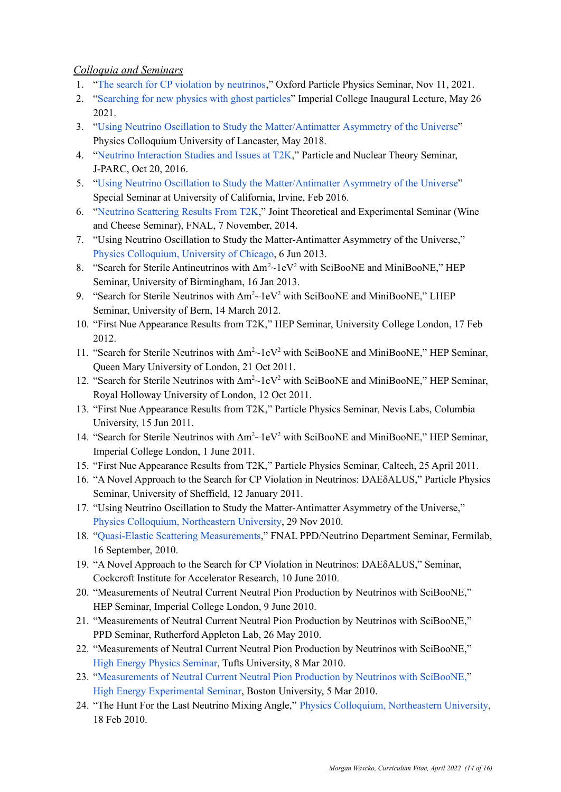# *Colloquia and Seminars*

- 1. "The search for CP violation by [neutrinos,](https://www.dropbox.com/s/t62kbli1lejussp/wascko_20211111.pdf?dl=0)" Oxford Particle Physics Seminar, Nov 11, 2021.
- 2. "[Searching](https://youtu.be/qUNQenpTrwY) for new physics with ghost particles" Imperial College Inaugural Lecture, May 26 2021.
- 3. "Using Neutrino Oscillation to Study the [Matter/Antimatter](http://www.hep.ph.ic.ac.uk/~wascko/talks/wascko_20180426.pdf) Asymmetry of the Universe" Physics Colloquium University of Lancaster, May 2018.
- 4. "Neutrino [Interaction](https://www.dropbox.com/s/heggmqrqcc09nbd/wascko_20161020.pdf?dl=0) Studies and Issues at T2K," Particle and Nuclear Theory Seminar, J-PARC, Oct 20, 2016.
- 5. "Using Neutrino Oscillation to Study the [Matter/Antimatter](https://www.physics.uci.edu/seminar/special-seminar-using-neutrino-oscillation-study-matterantimatter-asymmetry-universe) Asymmetry of the Universe" Special Seminar at University of California, Irvine, Feb 2016.
- 6. "Neutrino [Scattering](http://theory.fnal.gov/jetp/talks/wascko_20141107.pdf) Results From T2K," Joint Theoretical and Experimental Seminar (Wine and Cheese Seminar), FNAL, 7 November, 2014.
- 7. "Using Neutrino Oscillation to Study the Matter-Antimatter Asymmetry of the Universe," Physics [Colloquium,](http://physics.uchicago.edu/events/colloquia/2012_13/spring13.html) University of Chicago, 6 Jun 2013.
- 8. "Search for Sterile Antineutrinos with Δm <sup>2</sup>~1eV <sup>2</sup> with SciBooNE and MiniBooNE," HEP Seminar, University of Birmingham, 16 Jan 2013.
- 9. "Search for Sterile Neutrinos with  $\Delta m^2 \sim 1$ eV<sup>2</sup> with SciBooNE and MiniBooNE," LHEP Seminar, University of Bern, 14 March 2012.
- 10. "First Nue Appearance Results from T2K," HEP Seminar, University College London, 17 Feb 2012.
- 11. "Search for Sterile Neutrinos with Δm<sup>2</sup>~1eV<sup>2</sup> with SciBooNE and MiniBooNE," HEP Seminar, Queen Mary University of London, 21 Oct 2011.
- 12. "Search for Sterile Neutrinos with Δm<sup>2</sup>~1eV<sup>2</sup> with SciBooNE and MiniBooNE," HEP Seminar, Royal Holloway University of London, 12 Oct 2011.
- 13. "First Nue Appearance Results from T2K," Particle Physics Seminar, Nevis Labs, Columbia University, 15 Jun 2011.
- 14. "Search for Sterile Neutrinos with Δm<sup>2</sup>~1eV<sup>2</sup> with SciBooNE and MiniBooNE," HEP Seminar, Imperial College London, 1 June 2011.
- 15. "First Nue Appearance Results from T2K," Particle Physics Seminar, Caltech, 25 April 2011.
- 16. "A Novel Approach to the Search for CP Violation in Neutrinos: DAEδALUS," Particle Physics Seminar, University of Sheffield, 12 January 2011.
- 17. "Using Neutrino Oscillation to Study the Matter-Antimatter Asymmetry of the Universe," Physics Colloquium, [Northeastern](http://www.physics.neu.edu/feeds/MoreEvents.php) University, 29 Nov 2010.
- 18. "Quasi-Elastic Scattering [Measurements](http://minerva-docdb.fnal.gov/cgi-bin/ShowDocument?docid=5377)," FNAL PPD/Neutrino Department Seminar, Fermilab, 16 September, 2010.
- 19. "A Novel Approach to the Search for CP Violation in Neutrinos: DAEδALUS," Seminar, Cockcroft Institute for Accelerator Research, 10 June 2010.
- 20. "Measurements of Neutral Current Neutral Pion Production by Neutrinos with SciBooNE," HEP Seminar, Imperial College London, 9 June 2010.
- 21. "Measurements of Neutral Current Neutral Pion Production by Neutrinos with SciBooNE," PPD Seminar, Rutherford Appleton Lab, 26 May 2010.
- 22. "Measurements of Neutral Current Neutral Pion Production by Neutrinos with SciBooNE," High Energy Physics [Seminar,](http://www.physics.brown.edu/HET/seminars/bapc/2010-03-01.txt) Tufts University, 8 Mar 2010.
- 23. "[Measurements](http://physics.bu.edu/events/show/602) of Neutral Current Neutral Pion Production by Neutrinos with SciBooNE," High Energy [Experimental](http://physics.bu.edu/events/series/7) Seminar, Boston University, 5 Mar 2010.
- 24. "The Hunt For the Last Neutrino Mixing Angle," Physics Colloquium, [Northeastern](http://www.physics.neu.edu/feeds/MoreEvents.php) University, 18 Feb 2010.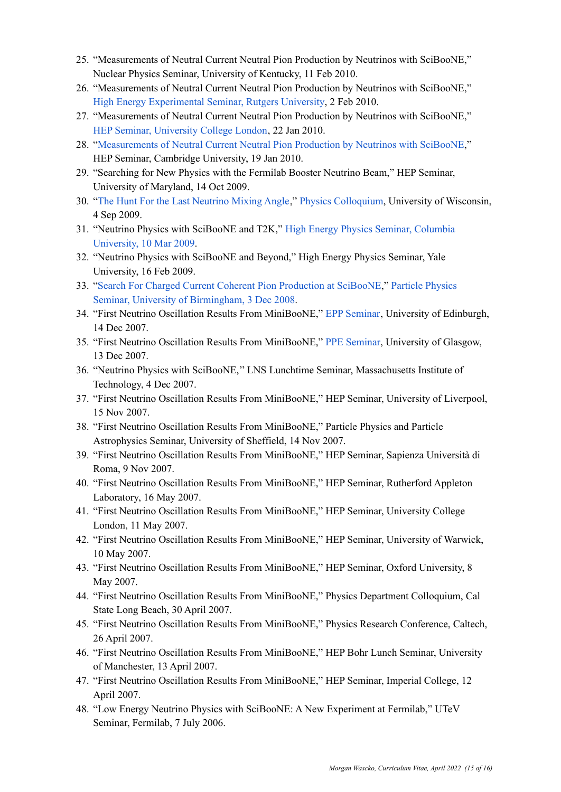- 25. "Measurements of Neutral Current Neutral Pion Production by Neutrinos with SciBooNE," Nuclear Physics Seminar, University of Kentucky, 11 Feb 2010.
- 26. "Measurements of Neutral Current Neutral Pion Production by Neutrinos with SciBooNE," High Energy [Experimental](http://www.physics.rutgers.edu/hex/seminars/) Seminar, Rutgers University, 2 Feb 2010.
- 27. "Measurements of Neutral Current Neutral Pion Production by Neutrinos with SciBooNE," HEP Seminar, [University](http://www.hep.ucl.ac.uk/seminars/2010_1.php) College London, 22 Jan 2010.
- 28. "[Measurements](http://talks.cam.ac.uk/talk/index/22482) of Neutral Current Neutral Pion Production by Neutrinos with SciBooNE," HEP Seminar, Cambridge University, 19 Jan 2010.
- 29. "Searching for New Physics with the Fermilab Booster Neutrino Beam," HEP Seminar, University of Maryland, 14 Oct 2009.
- 30. "The Hunt For the Last [Neutrino](http://agenda.hep.wisc.edu/getFile.py/access?contribId=9&resId=0&materialId=slides&confId=260) Mixing Angle," Physics [Colloquium](http://www.physics.wisc.edu/twap/view.php?id=1528&name=PDC), University of Wisconsin, 4 Sep 2009.
- 31. "Neutrino Physics with SciBooNE and T2K," High Energy Physics Seminar, [Columbia](http://www.columbia.edu/cu/physics/pdf-files/ParticleSeminar2009Wascko.pdf) [University,](http://www.columbia.edu/cu/physics/pdf-files/ParticleSeminar2009Wascko.pdf) 10 Mar 2009.
- 32. "Neutrino Physics with SciBooNE and Beyond," High Energy Physics Seminar, Yale University, 16 Feb 2009.
- 33. "Search For Charged Current Coherent Pion [Production](http://www.ep.ph.bham.ac.uk/general/seminars/slides/morgan-wascko-031208.pdf) at SciBooNE," Particle [Physics](http://www.ep.ph.bham.ac.uk/general/seminars/abstracts/wascko.html) Seminar, University of [Birmingham,](http://www.ep.ph.bham.ac.uk/general/seminars/abstracts/wascko.html) 3 Dec 2008.
- 34. "First Neutrino Oscillation Results From MiniBooNE," EPP [Seminar](http://www.ph.ed.ac.uk/~vjm/Seminars/Edinburgh-PPE-Seminars.html), University of Edinburgh, 14 Dec 2007.
- 35. "First Neutrino Oscillation Results From MiniBooNE," PPE [Seminar](http://www.gla.ac.uk/physics/ppe/seminars/martinmasterm2007-2008/), University of Glasgow, 13 Dec 2007.
- 36. "Neutrino Physics with SciBooNE,'' LNS Lunchtime Seminar, Massachusetts Institute of Technology, 4 Dec 2007.
- 37. "First Neutrino Oscillation Results From MiniBooNE," HEP Seminar, University of Liverpool, 15 Nov 2007.
- 38. "First Neutrino Oscillation Results From MiniBooNE," Particle Physics and Particle Astrophysics Seminar, University of Sheffield, 14 Nov 2007.
- 39. "First Neutrino Oscillation Results From MiniBooNE," HEP Seminar, Sapienza Università di Roma, 9 Nov 2007.
- 40. "First Neutrino Oscillation Results From MiniBooNE," HEP Seminar, Rutherford Appleton Laboratory, 16 May 2007.
- 41. "First Neutrino Oscillation Results From MiniBooNE," HEP Seminar, University College London, 11 May 2007.
- 42. "First Neutrino Oscillation Results From MiniBooNE," HEP Seminar, University of Warwick, 10 May 2007.
- 43. "First Neutrino Oscillation Results From MiniBooNE," HEP Seminar, Oxford University, 8 May 2007.
- 44. "First Neutrino Oscillation Results From MiniBooNE," Physics Department Colloquium, Cal State Long Beach, 30 April 2007.
- 45. "First Neutrino Oscillation Results From MiniBooNE," Physics Research Conference, Caltech, 26 April 2007.
- 46. "First Neutrino Oscillation Results From MiniBooNE," HEP Bohr Lunch Seminar, University of Manchester, 13 April 2007.
- 47. "First Neutrino Oscillation Results From MiniBooNE," HEP Seminar, Imperial College, 12 April 2007.
- 48. "Low Energy Neutrino Physics with SciBooNE: A New Experiment at Fermilab," UTeV Seminar, Fermilab, 7 July 2006.